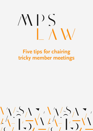# $\mathcal{N}$  $\bigcup$

## **Five tips for chairing tricky member meetings**

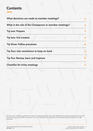#### **Contents**

| What decisions are made at member meetings?             |  |
|---------------------------------------------------------|--|
| What is the role of the Chairperson in member meetings? |  |
| <b>Tip one: Prepare</b>                                 |  |
| <b>Tip two: Get creative</b>                            |  |
| Tip three: Follow processes                             |  |
| Tip four: Use resolutions to keep on track              |  |
| Tip five: Review, learn and improve                     |  |
| <b>Checklist for tricky meetings</b>                    |  |

This document is intended as a guide only. This does not constitute legal advice. There may be additional and important considerations that should be taken into account in your specific circumstances. If you or your organisation has a legal issue, you should obtain professional advice from a legal practitioner.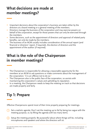### **What decisions are made at member meetings?**

- Important decisions about the corporation's business are taken either by the directors at a board meeting or a general meeting of the members.
- Directors manage the business of the corporation and may exercise powers on  $\bullet$ behalf of the corporation, except for those powers that can only be exercised through the members.
- Some decisions, such as the appointment of directors and approval of related party benefits, can only be made by the members.
- The business of an AGM usually includes consideration of the annual report (and  $\bullet$ financial or directors' report, if required), the election of directors and the appointment of the auditor (if required).

### **What is the role of the Chairperson in member meetings?**

- The Chairperson is responsible for allowing a reasonable opportunity for the  $\bullet$ members at an AGM to ask questions or make comments about the management of the corporation.<sup>1</sup> It is an offence not to do so.<sup>2</sup>
- The Chairperson also is the public face of the corporation, so assists with  $\bullet$ maintaining the corporation's values and upholding its reputation.
- In a meeting, the Chairperson needs to keep the meeting on track so that decisions  $\bullet$ are made properly and fairly.

## **Tip 1: Prepare**

Effective Chairpersons spend most of their time properly preparing for meetings.

- 1) Set a realistic agenda: Don't set the meeting up to fail by being too vague with the meeting purpose, or, by filling the agenda with too many items.
- Setup the meeting properly: Be purposeful about where things will be, including microphones and speakers and where the directors will sit. **2**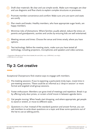- Draft clear materials: Be clear and use simple words. Make sure messages are clear and use diagrams and flow charts to explain complex structures or processes. **3**
- Promote member convenience and comfort: Make sure urns are warm and seats are comfy. **4**
- **5** Plan meals and breaks: Healthy members, who have appropriate sugar levels, are happy members.
- Minimise risks of distractions: Where families usually attend, reduce the stress on parents and grandparents, aunties and uncles by ensuring kids are well entertained. **6**
- Meeting venues and times: Choose the venue and times wisely, where you have options. **7**
- Test technology: Before the meeting starts, make sure you have tested all **8** technology, including projectors, microphones and speakers and video cameras.

1. Corporations (Aboriginal and Torres Strait Islander) Act 2006 (Cth) s 204-1 ('CATSI Act') s 201-165(1). 2. CATSI Act (n 1) s 201-165(2).

## **Tip 2: Get creative**

Exceptional Chairpersons find creative ways to engage with members.

- 1) Pre-meeting sessions: If you're expecting a particularly tricky topic, invest time in pre-meeting sessions. These could be as informal as a 'drop-in session' or more formal and targeted small-group sessions.
- Foster enthusiasm: Members can grow tired of meetings and repetition. Break it up **2** by offering lucky door prizes, or screen a brief movie in between agenda items.
- Get people moving: When heads start dropping, and where appropriate, get people to stand or stretch, or move to different seats. **3**
- Questions in a hat: Instead of the standard question and answer format, you can **4**ask members to write down questions on a topic and draw some questions out of the hat to use as talking points.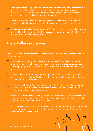- Voting processes: Be open to, consistent with relevant rules, voting processes that **5** suit that particular decision. Is a secret ballot required, and if so, what process will be the easiest for members to follow? If there is a need, consider independent scrutineers to promote fairness in voting processes.
- Presentation of information: Avoid long speeches, where possible. Work with presenters to find other ways to present information, like models or role plays. **6**
- Accessing further information: Make sure further information is available, or can be **7** provided later. For members who have access to technology, use that technology, like secure virtual information portals.

#### **Tip 3: Follow processes**

Chairpersons can use processes to reduce the risks of disputes and promote effective communication.

- Code of conduct: Design and seek member approval for a code of conduct that **1** shows the standards of behaviour. The code should also explain processes like speaking through the Chairperson. The Chairperson must model that behaviour at all times.
- Allocate agenda item for questions: Chairpersons should consider allocating specific time for questions. Avoid accusations of oppressive conduct by embracing questions during those times. **2**
- Listen, acknowledge, reframe and summarise: Chairpersons should demonstrate these hallmark qualities of effective communication. This builds rapport and demonstrates the respect for your members. **3**
- Be decisive: Where matters are not relevant to current discussion, ask members for their support to maintain course. This can be put as being a sign of respect to all members by making good use of their time. **4**
- **5** Note comments in minutes: Chairpersons can demonstrate that member sentiment is heard by expressly requesting that the minutes note a member (or member's) comment or recommendation.

Liability limited by scheme approved **<sup>4</sup>** under Professional Standards Legislation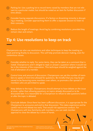- Parking lot: Use a parking lot to record items raised by members that are not relevant to a particular matter, but should be noted as an item for further discussion if time allows. **6**
- Consider having separate discussions: If a faction or dissenting minority is disrupt-**7** ing a meeting, consider approaching them to offer a separate session to listen to their concerns.
- 8) Reduce the length of meetings: Avoid lag by combining resolutions, provided they remain clear and certain.

#### **Tip 4: Use resolutions to keep on track**

Chairpersons can also use resolutions and other techniques to keep the meeting on track and bring finality to discussion. This will help promote decision making, even for contentious issues.

- Consider whether to reply: For some items, they can be taken as a comment that is **1** noted. Chairpersons aren't obliged to reply or answer a question where it would not be in the interests of the corporation. This technique should be weighed against the risk of alienation of a member.
- Control time and amount of discussion: Chairpersons can set the number of mem-**2** bers to speak or limit time allowed for questions. Be mindful that you may be perceived to be favouring some members over others, so promote a fair spread of members who are permitted to speak.
- Keep debate to the topic: Chairpersons should attempt to have debate on the issue **3** at once, rather than allowing questions on topics already discussed or to be discussed later. It is reasonable for a Chairperson to refuse to take questions before or after the topic is debated.
- Conclude debate: Once there has been sufficient discussion, it is appropriate for the Chairperson to announce and end to that discussion. This takes experience and be careful not to end debate too early. That would risk oppressive conduct. For Chairpersons with less familiarity with members, you can seek member approval to close the debate by a show of hands. **4**

**5** Liability limited by scheme approved under Professional Standards Legislation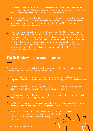- Use agenda item adjournments: Chairpersons can have brief adjournments to **5** de-escalate situations. These can be great opportunities for separate meetings and also asking troublemakers to voluntarily leave and not return.
- Remove members: Following fair warnings and reminders of the code of conduct, the Chairperson can ask if a troublemaker to voluntarily leave a member, or ask for security to remove them. It is the right and obligation of Chairperson to preserve order. This should be a matter of last resort. **6**
- Use simple resolutions to move through the agenda: The Chairperson can ask **7** members to consider, and members can move, resolutions to preserve order. For example, a closure motion (moving to close discussion), a motion to move to the next item, a motion to adjourn the debate, a motion to 'lay on the table' (to move on from a trivial or unimportant issue), a motion to refer back for fresh consideration (to a committee or the board, to seek or on the provision of further information) can all be used to keep the meeting going. Keep these resolution simple, like a show of hands.

#### **Tip 5: Review, learn and improve**

Corporations should continually review the performance of its board, including the Chairperson's management of a member meeting.

- Be open to improvement: Show members that you are personally committed to **1** improving. Demonstrate leadership and commitment to professional development.
- Express vulnerability: You're not perfect, and no Chairperson is. Be transparent **2** about difficulty of the role and what you are doing to improve.
- **3** Seek feedback: Use feedback sessions or brief surveys to invite member feedback. Show integrity by respecting that feedback.
- Performance review: Consider having an independent observer watch you chair a **4** meeting. They can provide practical insights for how you can further improve.
- **5** Training: No-one is born as an effective Chairperson. These specialist skills are learned. Good boards promote training for the Chairperson to help them prepare for tricky meetings.

Liability limited by scheme approved **6** under Professional Standards Legislation